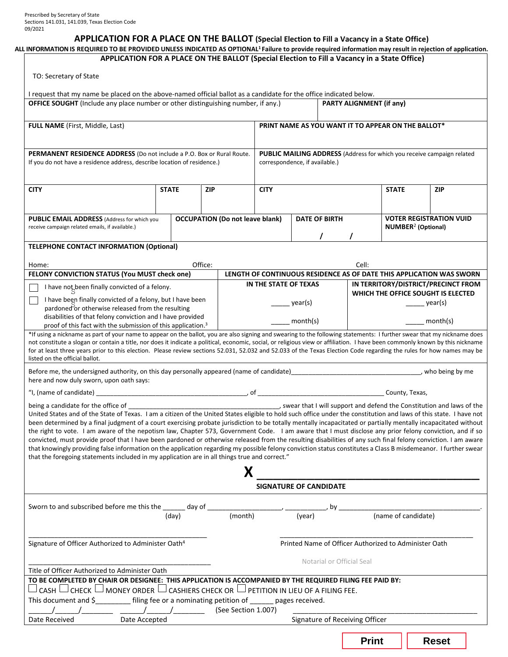## **APPLICATION FOR A PLACE ON THE BALLOT (Special Election to Fill a Vacancy in a State Office)**

| ALL INFORMATION IS REQUIRED TO BE PROVIDED UNLESS INDICATED AS OPTIONAL <sup>1</sup> Failure to provide required information may result in rejection of application.<br>APPLICATION FOR A PLACE ON THE BALLOT (Special Election to Fill a Vacancy in a State Office)                                                                                                                                                                                                                                                                                                                                                                                                                                                                                                                                                                                                                                                                   |       |            |   |                                                                                                                                                                                                                                                                                                                                                                                                                                   |                                                                                                                                                                                                                                                                                                                                                                                                                      |                                      |                                                                           |                                                                        |  |
|----------------------------------------------------------------------------------------------------------------------------------------------------------------------------------------------------------------------------------------------------------------------------------------------------------------------------------------------------------------------------------------------------------------------------------------------------------------------------------------------------------------------------------------------------------------------------------------------------------------------------------------------------------------------------------------------------------------------------------------------------------------------------------------------------------------------------------------------------------------------------------------------------------------------------------------|-------|------------|---|-----------------------------------------------------------------------------------------------------------------------------------------------------------------------------------------------------------------------------------------------------------------------------------------------------------------------------------------------------------------------------------------------------------------------------------|----------------------------------------------------------------------------------------------------------------------------------------------------------------------------------------------------------------------------------------------------------------------------------------------------------------------------------------------------------------------------------------------------------------------|--------------------------------------|---------------------------------------------------------------------------|------------------------------------------------------------------------|--|
| TO: Secretary of State                                                                                                                                                                                                                                                                                                                                                                                                                                                                                                                                                                                                                                                                                                                                                                                                                                                                                                                 |       |            |   |                                                                                                                                                                                                                                                                                                                                                                                                                                   |                                                                                                                                                                                                                                                                                                                                                                                                                      |                                      |                                                                           |                                                                        |  |
| I request that my name be placed on the above-named official ballot as a candidate for the office indicated below.                                                                                                                                                                                                                                                                                                                                                                                                                                                                                                                                                                                                                                                                                                                                                                                                                     |       |            |   |                                                                                                                                                                                                                                                                                                                                                                                                                                   |                                                                                                                                                                                                                                                                                                                                                                                                                      |                                      |                                                                           |                                                                        |  |
| <b>OFFICE SOUGHT</b> (Include any place number or other distinguishing number, if any.)                                                                                                                                                                                                                                                                                                                                                                                                                                                                                                                                                                                                                                                                                                                                                                                                                                                |       |            |   |                                                                                                                                                                                                                                                                                                                                                                                                                                   |                                                                                                                                                                                                                                                                                                                                                                                                                      | PARTY ALIGNMENT (if any)             |                                                                           |                                                                        |  |
|                                                                                                                                                                                                                                                                                                                                                                                                                                                                                                                                                                                                                                                                                                                                                                                                                                                                                                                                        |       |            |   |                                                                                                                                                                                                                                                                                                                                                                                                                                   |                                                                                                                                                                                                                                                                                                                                                                                                                      |                                      |                                                                           |                                                                        |  |
| <b>FULL NAME</b> (First, Middle, Last)                                                                                                                                                                                                                                                                                                                                                                                                                                                                                                                                                                                                                                                                                                                                                                                                                                                                                                 |       |            |   | PRINT NAME AS YOU WANT IT TO APPEAR ON THE BALLOT*                                                                                                                                                                                                                                                                                                                                                                                |                                                                                                                                                                                                                                                                                                                                                                                                                      |                                      |                                                                           |                                                                        |  |
| PERMANENT RESIDENCE ADDRESS (Do not include a P.O. Box or Rural Route.                                                                                                                                                                                                                                                                                                                                                                                                                                                                                                                                                                                                                                                                                                                                                                                                                                                                 |       |            |   |                                                                                                                                                                                                                                                                                                                                                                                                                                   |                                                                                                                                                                                                                                                                                                                                                                                                                      |                                      |                                                                           | PUBLIC MAILING ADDRESS (Address for which you receive campaign related |  |
| If you do not have a residence address, describe location of residence.)                                                                                                                                                                                                                                                                                                                                                                                                                                                                                                                                                                                                                                                                                                                                                                                                                                                               |       |            |   |                                                                                                                                                                                                                                                                                                                                                                                                                                   | correspondence, if available.)                                                                                                                                                                                                                                                                                                                                                                                       |                                      |                                                                           |                                                                        |  |
| <b>CITY</b><br><b>STATE</b>                                                                                                                                                                                                                                                                                                                                                                                                                                                                                                                                                                                                                                                                                                                                                                                                                                                                                                            |       | <b>ZIP</b> |   | <b>CITY</b>                                                                                                                                                                                                                                                                                                                                                                                                                       |                                                                                                                                                                                                                                                                                                                                                                                                                      |                                      | <b>STATE</b>                                                              | <b>ZIP</b>                                                             |  |
|                                                                                                                                                                                                                                                                                                                                                                                                                                                                                                                                                                                                                                                                                                                                                                                                                                                                                                                                        |       |            |   |                                                                                                                                                                                                                                                                                                                                                                                                                                   |                                                                                                                                                                                                                                                                                                                                                                                                                      |                                      |                                                                           |                                                                        |  |
| <b>OCCUPATION (Do not leave blank)</b><br>PUBLIC EMAIL ADDRESS (Address for which you                                                                                                                                                                                                                                                                                                                                                                                                                                                                                                                                                                                                                                                                                                                                                                                                                                                  |       |            |   | <b>DATE OF BIRTH</b>                                                                                                                                                                                                                                                                                                                                                                                                              |                                                                                                                                                                                                                                                                                                                                                                                                                      |                                      | <b>VOTER REGISTRATION VUID</b>                                            |                                                                        |  |
| receive campaign related emails, if available.)                                                                                                                                                                                                                                                                                                                                                                                                                                                                                                                                                                                                                                                                                                                                                                                                                                                                                        |       |            |   | $\mathcal{L}$                                                                                                                                                                                                                                                                                                                                                                                                                     |                                                                                                                                                                                                                                                                                                                                                                                                                      | <b>NUMBER<sup>2</sup></b> (Optional) |                                                                           |                                                                        |  |
| <b>TELEPHONE CONTACT INFORMATION (Optional)</b>                                                                                                                                                                                                                                                                                                                                                                                                                                                                                                                                                                                                                                                                                                                                                                                                                                                                                        |       |            |   |                                                                                                                                                                                                                                                                                                                                                                                                                                   |                                                                                                                                                                                                                                                                                                                                                                                                                      |                                      |                                                                           |                                                                        |  |
| Home:                                                                                                                                                                                                                                                                                                                                                                                                                                                                                                                                                                                                                                                                                                                                                                                                                                                                                                                                  |       | Office:    |   |                                                                                                                                                                                                                                                                                                                                                                                                                                   |                                                                                                                                                                                                                                                                                                                                                                                                                      | Cell:                                |                                                                           |                                                                        |  |
| FELONY CONVICTION STATUS (You MUST check one)                                                                                                                                                                                                                                                                                                                                                                                                                                                                                                                                                                                                                                                                                                                                                                                                                                                                                          |       |            |   |                                                                                                                                                                                                                                                                                                                                                                                                                                   |                                                                                                                                                                                                                                                                                                                                                                                                                      |                                      |                                                                           | LENGTH OF CONTINUOUS RESIDENCE AS OF DATE THIS APPLICATION WAS SWORN   |  |
| I have not been finally convicted of a felony.                                                                                                                                                                                                                                                                                                                                                                                                                                                                                                                                                                                                                                                                                                                                                                                                                                                                                         |       |            |   | IN THE STATE OF TEXAS                                                                                                                                                                                                                                                                                                                                                                                                             |                                                                                                                                                                                                                                                                                                                                                                                                                      |                                      | IN TERRITORY/DISTRICT/PRECINCT FROM<br>WHICH THE OFFICE SOUGHT IS ELECTED |                                                                        |  |
| I have been finally convicted of a felony, but I have been<br>pardoned or otherwise released from the resulting<br>disabilities of that felony conviction and I have provided                                                                                                                                                                                                                                                                                                                                                                                                                                                                                                                                                                                                                                                                                                                                                          |       |            |   |                                                                                                                                                                                                                                                                                                                                                                                                                                   | $\frac{1}{\sqrt{1-\frac{1}{2}}\sqrt{1-\frac{1}{2}}\sqrt{1-\frac{1}{2}}\sqrt{1-\frac{1}{2}}\sqrt{1-\frac{1}{2}}\sqrt{1-\frac{1}{2}}\sqrt{1-\frac{1}{2}}\sqrt{1-\frac{1}{2}}\sqrt{1-\frac{1}{2}}\sqrt{1-\frac{1}{2}}\sqrt{1-\frac{1}{2}}\sqrt{1-\frac{1}{2}}\sqrt{1-\frac{1}{2}}\sqrt{1-\frac{1}{2}}\sqrt{1-\frac{1}{2}}\sqrt{1-\frac{1}{2}}\sqrt{1-\frac{1}{2}}\sqrt{1-\frac{1}{2}}\sqrt{1-\frac{1}{2}}\sqrt{1-\frac$ |                                      | year(s)                                                                   |                                                                        |  |
|                                                                                                                                                                                                                                                                                                                                                                                                                                                                                                                                                                                                                                                                                                                                                                                                                                                                                                                                        |       |            |   |                                                                                                                                                                                                                                                                                                                                                                                                                                   |                                                                                                                                                                                                                                                                                                                                                                                                                      |                                      | $\frac{1}{\sqrt{1-\frac{1}{2}}}\text{month(s)}$                           |                                                                        |  |
| proof of this fact with the submission of this application. <sup>3</sup><br>*If using a nickname as part of your name to appear on the ballot, you are also signing and swearing to the following statements: I further swear that my nickname does                                                                                                                                                                                                                                                                                                                                                                                                                                                                                                                                                                                                                                                                                    |       |            |   | month(s)                                                                                                                                                                                                                                                                                                                                                                                                                          |                                                                                                                                                                                                                                                                                                                                                                                                                      |                                      |                                                                           |                                                                        |  |
| not constitute a slogan or contain a title, nor does it indicate a political, economic, social, or religious view or affiliation. I have been commonly known by this nickname<br>for at least three years prior to this election. Please review sections 52.031, 52.032 and 52.033 of the Texas Election Code regarding the rules for how names may be<br>listed on the official ballot.                                                                                                                                                                                                                                                                                                                                                                                                                                                                                                                                               |       |            |   |                                                                                                                                                                                                                                                                                                                                                                                                                                   |                                                                                                                                                                                                                                                                                                                                                                                                                      |                                      |                                                                           |                                                                        |  |
| Before me, the undersigned authority, on this day personally appeared (name of candidate)<br>Laterally examples and the management and the understanding of the being by me<br>here and now duly sworn, upon oath says:                                                                                                                                                                                                                                                                                                                                                                                                                                                                                                                                                                                                                                                                                                                |       |            |   |                                                                                                                                                                                                                                                                                                                                                                                                                                   |                                                                                                                                                                                                                                                                                                                                                                                                                      |                                      |                                                                           |                                                                        |  |
|                                                                                                                                                                                                                                                                                                                                                                                                                                                                                                                                                                                                                                                                                                                                                                                                                                                                                                                                        |       |            |   |                                                                                                                                                                                                                                                                                                                                                                                                                                   |                                                                                                                                                                                                                                                                                                                                                                                                                      |                                      |                                                                           |                                                                        |  |
| United States and of the State of Texas. I am a citizen of the United States eligible to hold such office under the constitution and laws of this state. I have not<br>been determined by a final judgment of a court exercising probate jurisdiction to be totally mentally incapacitated or partially mentally incapacitated without<br>the right to vote. I am aware of the nepotism law, Chapter 573, Government Code. I am aware that I must disclose any prior felony conviction, and if so<br>convicted, must provide proof that I have been pardoned or otherwise released from the resulting disabilities of any such final felony conviction. I am aware<br>that knowingly providing false information on the application regarding my possible felony conviction status constitutes a Class B misdemeanor. I further swear<br>that the foregoing statements included in my application are in all things true and correct." |       |            | X |                                                                                                                                                                                                                                                                                                                                                                                                                                   |                                                                                                                                                                                                                                                                                                                                                                                                                      |                                      |                                                                           |                                                                        |  |
|                                                                                                                                                                                                                                                                                                                                                                                                                                                                                                                                                                                                                                                                                                                                                                                                                                                                                                                                        |       |            |   |                                                                                                                                                                                                                                                                                                                                                                                                                                   | <b>SIGNATURE OF CANDIDATE</b>                                                                                                                                                                                                                                                                                                                                                                                        |                                      |                                                                           |                                                                        |  |
| Sworn to and subscribed before me this the $\frac{1}{\sqrt{ \mathbf{d}_0 \mathbf{u} }}$ day of ______                                                                                                                                                                                                                                                                                                                                                                                                                                                                                                                                                                                                                                                                                                                                                                                                                                  |       |            |   |                                                                                                                                                                                                                                                                                                                                                                                                                                   |                                                                                                                                                                                                                                                                                                                                                                                                                      | $\rightarrow$ by $\equiv$            |                                                                           |                                                                        |  |
|                                                                                                                                                                                                                                                                                                                                                                                                                                                                                                                                                                                                                                                                                                                                                                                                                                                                                                                                        | (day) |            |   | $\frac{1}{\sqrt{1-\frac{1}{\sqrt{1-\frac{1}{\sqrt{1-\frac{1}{\sqrt{1-\frac{1}{\sqrt{1-\frac{1}{\sqrt{1-\frac{1}{\sqrt{1-\frac{1}{\sqrt{1-\frac{1}{\sqrt{1-\frac{1}{\sqrt{1-\frac{1}{\sqrt{1-\frac{1}{\sqrt{1-\frac{1}{\sqrt{1-\frac{1}{\sqrt{1-\frac{1}{\sqrt{1-\frac{1}{\sqrt{1-\frac{1}{\sqrt{1-\frac{1}{\sqrt{1-\frac{1}{\sqrt{1-\frac{1}{\sqrt{1-\frac{1}{\sqrt{1-\frac{1}{\sqrt{1-\frac{1}{\sqrt{1-\frac{1}{\sqrt{1-\frac{1$ |                                                                                                                                                                                                                                                                                                                                                                                                                      |                                      | (name of candidate)                                                       |                                                                        |  |
| Signature of Officer Authorized to Administer Oath <sup>4</sup>                                                                                                                                                                                                                                                                                                                                                                                                                                                                                                                                                                                                                                                                                                                                                                                                                                                                        |       |            |   |                                                                                                                                                                                                                                                                                                                                                                                                                                   | Printed Name of Officer Authorized to Administer Oath                                                                                                                                                                                                                                                                                                                                                                |                                      |                                                                           |                                                                        |  |
|                                                                                                                                                                                                                                                                                                                                                                                                                                                                                                                                                                                                                                                                                                                                                                                                                                                                                                                                        |       |            |   |                                                                                                                                                                                                                                                                                                                                                                                                                                   |                                                                                                                                                                                                                                                                                                                                                                                                                      | Notarial or Official Seal            |                                                                           |                                                                        |  |
| Title of Officer Authorized to Administer Oath<br>TO BE COMPLETED BY CHAIR OR DESIGNEE: THIS APPLICATION IS ACCOMPANIED BY THE REQUIRED FILING FEE PAID BY:                                                                                                                                                                                                                                                                                                                                                                                                                                                                                                                                                                                                                                                                                                                                                                            |       |            |   |                                                                                                                                                                                                                                                                                                                                                                                                                                   |                                                                                                                                                                                                                                                                                                                                                                                                                      |                                      |                                                                           |                                                                        |  |
| CASH $\Box$ CHECK $\Box$ MONEY ORDER $\Box$ CASHIERS CHECK OR $\Box$ PETITION IN LIEU OF A FILING FEE.<br>This document and \$ ________ filing fee or a nominating petition of _____ pages received.                                                                                                                                                                                                                                                                                                                                                                                                                                                                                                                                                                                                                                                                                                                                   |       |            |   |                                                                                                                                                                                                                                                                                                                                                                                                                                   |                                                                                                                                                                                                                                                                                                                                                                                                                      |                                      |                                                                           |                                                                        |  |
|                                                                                                                                                                                                                                                                                                                                                                                                                                                                                                                                                                                                                                                                                                                                                                                                                                                                                                                                        |       |            |   |                                                                                                                                                                                                                                                                                                                                                                                                                                   |                                                                                                                                                                                                                                                                                                                                                                                                                      |                                      |                                                                           |                                                                        |  |
| Date Received<br>Date Accepted                                                                                                                                                                                                                                                                                                                                                                                                                                                                                                                                                                                                                                                                                                                                                                                                                                                                                                         |       |            |   |                                                                                                                                                                                                                                                                                                                                                                                                                                   |                                                                                                                                                                                                                                                                                                                                                                                                                      | Signature of Receiving Officer       |                                                                           |                                                                        |  |

| Reset |
|-------|
|       |